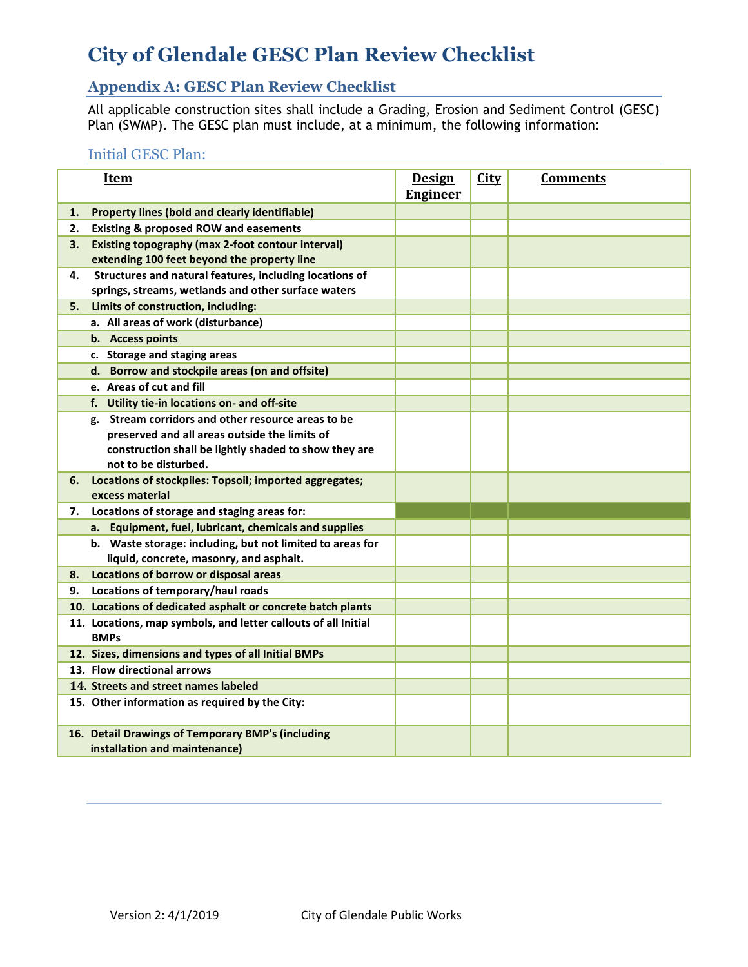# **City of Glendale GESC Plan Review Checklist**

## **Appendix A: GESC Plan Review Checklist**

All applicable construction sites shall include a Grading, Erosion and Sediment Control (GESC) Plan (SWMP). The GESC plan must include, at a minimum, the following information:

### Initial GESC Plan:

|    | <b>Item</b>                                                                                                                                                                          | <b>Design</b><br><b>Engineer</b> | <b>City</b> | <b>Comments</b> |
|----|--------------------------------------------------------------------------------------------------------------------------------------------------------------------------------------|----------------------------------|-------------|-----------------|
| 1. | Property lines (bold and clearly identifiable)                                                                                                                                       |                                  |             |                 |
| 2. | <b>Existing &amp; proposed ROW and easements</b>                                                                                                                                     |                                  |             |                 |
| 3. | <b>Existing topography (max 2-foot contour interval)</b><br>extending 100 feet beyond the property line                                                                              |                                  |             |                 |
| 4. | Structures and natural features, including locations of<br>springs, streams, wetlands and other surface waters                                                                       |                                  |             |                 |
| 5. | Limits of construction, including:                                                                                                                                                   |                                  |             |                 |
|    | a. All areas of work (disturbance)                                                                                                                                                   |                                  |             |                 |
|    | b. Access points                                                                                                                                                                     |                                  |             |                 |
|    | c. Storage and staging areas                                                                                                                                                         |                                  |             |                 |
|    | d. Borrow and stockpile areas (on and offsite)                                                                                                                                       |                                  |             |                 |
|    | e. Areas of cut and fill                                                                                                                                                             |                                  |             |                 |
|    | f. Utility tie-in locations on- and off-site                                                                                                                                         |                                  |             |                 |
|    | g. Stream corridors and other resource areas to be<br>preserved and all areas outside the limits of<br>construction shall be lightly shaded to show they are<br>not to be disturbed. |                                  |             |                 |
| 6. | Locations of stockpiles: Topsoil; imported aggregates;<br>excess material                                                                                                            |                                  |             |                 |
| 7. | Locations of storage and staging areas for:                                                                                                                                          |                                  |             |                 |
|    | a. Equipment, fuel, lubricant, chemicals and supplies                                                                                                                                |                                  |             |                 |
|    | b. Waste storage: including, but not limited to areas for<br>liquid, concrete, masonry, and asphalt.                                                                                 |                                  |             |                 |
| 8. | Locations of borrow or disposal areas                                                                                                                                                |                                  |             |                 |
| 9. | Locations of temporary/haul roads                                                                                                                                                    |                                  |             |                 |
|    | 10. Locations of dedicated asphalt or concrete batch plants                                                                                                                          |                                  |             |                 |
|    | 11. Locations, map symbols, and letter callouts of all Initial<br><b>BMPs</b>                                                                                                        |                                  |             |                 |
|    | 12. Sizes, dimensions and types of all Initial BMPs                                                                                                                                  |                                  |             |                 |
|    | 13. Flow directional arrows                                                                                                                                                          |                                  |             |                 |
|    | 14. Streets and street names labeled                                                                                                                                                 |                                  |             |                 |
|    | 15. Other information as required by the City:                                                                                                                                       |                                  |             |                 |
|    | 16. Detail Drawings of Temporary BMP's (including<br>installation and maintenance)                                                                                                   |                                  |             |                 |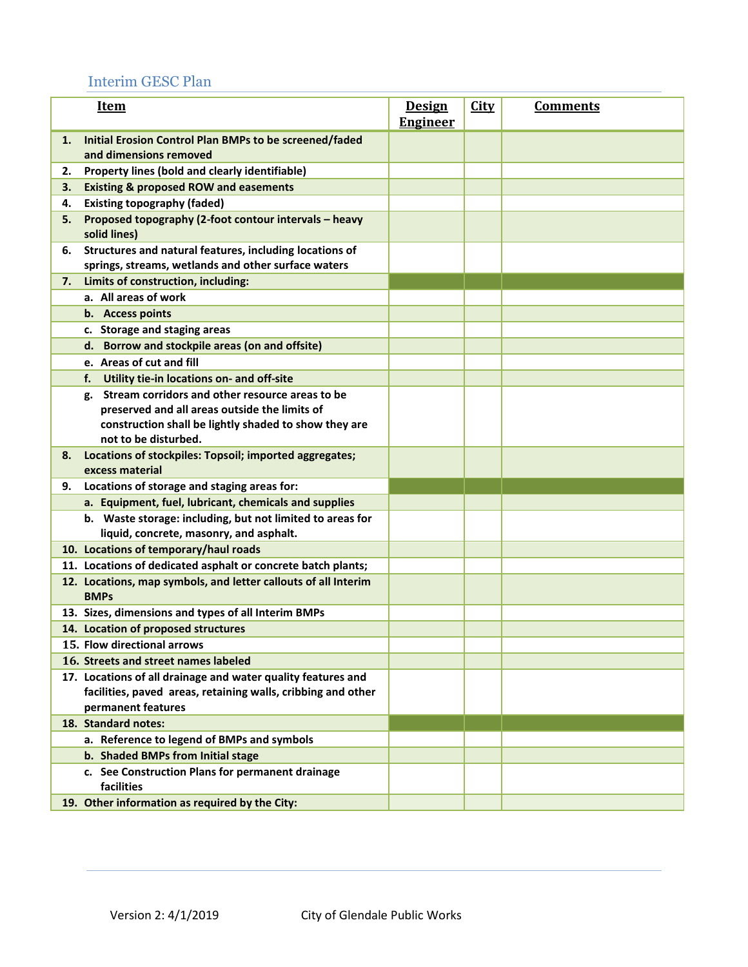## Interim GESC Plan

| <b>Item</b> |                                                                                                      | <b>Design</b><br><b>Engineer</b> | <b>City</b> | <b>Comments</b> |
|-------------|------------------------------------------------------------------------------------------------------|----------------------------------|-------------|-----------------|
| 1.          | Initial Erosion Control Plan BMPs to be screened/faded<br>and dimensions removed                     |                                  |             |                 |
| 2.          | Property lines (bold and clearly identifiable)                                                       |                                  |             |                 |
| 3.          | <b>Existing &amp; proposed ROW and easements</b>                                                     |                                  |             |                 |
| 4.          | <b>Existing topography (faded)</b>                                                                   |                                  |             |                 |
| 5.          | Proposed topography (2-foot contour intervals - heavy<br>solid lines)                                |                                  |             |                 |
| 6.          | Structures and natural features, including locations of                                              |                                  |             |                 |
|             | springs, streams, wetlands and other surface waters                                                  |                                  |             |                 |
| 7.          | Limits of construction, including:                                                                   |                                  |             |                 |
|             | a. All areas of work                                                                                 |                                  |             |                 |
|             | b. Access points                                                                                     |                                  |             |                 |
|             | c. Storage and staging areas                                                                         |                                  |             |                 |
|             | Borrow and stockpile areas (on and offsite)<br>d.                                                    |                                  |             |                 |
|             | e. Areas of cut and fill                                                                             |                                  |             |                 |
|             | f.<br>Utility tie-in locations on- and off-site                                                      |                                  |             |                 |
|             | Stream corridors and other resource areas to be<br>g.                                                |                                  |             |                 |
|             | preserved and all areas outside the limits of                                                        |                                  |             |                 |
|             | construction shall be lightly shaded to show they are                                                |                                  |             |                 |
|             | not to be disturbed.                                                                                 |                                  |             |                 |
| 8.          | Locations of stockpiles: Topsoil; imported aggregates;<br>excess material                            |                                  |             |                 |
| 9.          | Locations of storage and staging areas for:                                                          |                                  |             |                 |
|             | a. Equipment, fuel, lubricant, chemicals and supplies                                                |                                  |             |                 |
|             | b. Waste storage: including, but not limited to areas for<br>liquid, concrete, masonry, and asphalt. |                                  |             |                 |
|             | 10. Locations of temporary/haul roads                                                                |                                  |             |                 |
|             | 11. Locations of dedicated asphalt or concrete batch plants;                                         |                                  |             |                 |
|             | 12. Locations, map symbols, and letter callouts of all Interim<br><b>BMPs</b>                        |                                  |             |                 |
|             | 13. Sizes, dimensions and types of all Interim BMPs                                                  |                                  |             |                 |
|             | 14. Location of proposed structures                                                                  |                                  |             |                 |
|             | 15. Flow directional arrows                                                                          |                                  |             |                 |
|             | 16. Streets and street names labeled                                                                 |                                  |             |                 |
|             | 17. Locations of all drainage and water quality features and                                         |                                  |             |                 |
|             | facilities, paved areas, retaining walls, cribbing and other                                         |                                  |             |                 |
|             | permanent features                                                                                   |                                  |             |                 |
|             | 18. Standard notes:                                                                                  |                                  |             |                 |
|             | a. Reference to legend of BMPs and symbols                                                           |                                  |             |                 |
|             | b. Shaded BMPs from Initial stage                                                                    |                                  |             |                 |
|             | c. See Construction Plans for permanent drainage<br>facilities                                       |                                  |             |                 |
|             | 19. Other information as required by the City:                                                       |                                  |             |                 |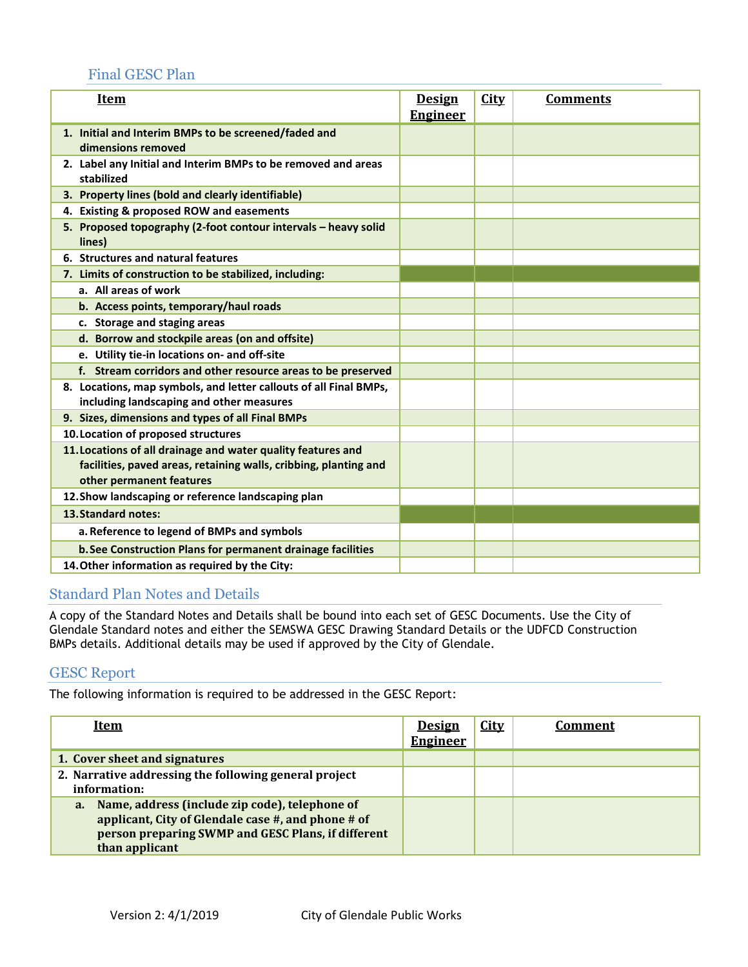#### Final GESC Plan

| <u>Item</u>                                                                 | <b>Design</b>   | <b>City</b> | <b>Comments</b> |
|-----------------------------------------------------------------------------|-----------------|-------------|-----------------|
|                                                                             | <b>Engineer</b> |             |                 |
| 1. Initial and Interim BMPs to be screened/faded and<br>dimensions removed  |                 |             |                 |
| 2. Label any Initial and Interim BMPs to be removed and areas<br>stabilized |                 |             |                 |
| 3. Property lines (bold and clearly identifiable)                           |                 |             |                 |
| 4. Existing & proposed ROW and easements                                    |                 |             |                 |
| 5. Proposed topography (2-foot contour intervals - heavy solid<br>lines)    |                 |             |                 |
| 6. Structures and natural features                                          |                 |             |                 |
| 7. Limits of construction to be stabilized, including:                      |                 |             |                 |
| a. All areas of work                                                        |                 |             |                 |
| b. Access points, temporary/haul roads                                      |                 |             |                 |
| c. Storage and staging areas                                                |                 |             |                 |
| d. Borrow and stockpile areas (on and offsite)                              |                 |             |                 |
| e. Utility tie-in locations on- and off-site                                |                 |             |                 |
| f. Stream corridors and other resource areas to be preserved                |                 |             |                 |
| 8. Locations, map symbols, and letter callouts of all Final BMPs,           |                 |             |                 |
| including landscaping and other measures                                    |                 |             |                 |
| 9. Sizes, dimensions and types of all Final BMPs                            |                 |             |                 |
| 10. Location of proposed structures                                         |                 |             |                 |
| 11. Locations of all drainage and water quality features and                |                 |             |                 |
| facilities, paved areas, retaining walls, cribbing, planting and            |                 |             |                 |
| other permanent features                                                    |                 |             |                 |
| 12. Show landscaping or reference landscaping plan                          |                 |             |                 |
| 13. Standard notes:                                                         |                 |             |                 |
| a. Reference to legend of BMPs and symbols                                  |                 |             |                 |
| b. See Construction Plans for permanent drainage facilities                 |                 |             |                 |
| 14. Other information as required by the City:                              |                 |             |                 |

#### Standard Plan Notes and Details

A copy of the Standard Notes and Details shall be bound into each set of GESC Documents. Use the City of Glendale Standard notes and either the SEMSWA GESC Drawing Standard Details or the UDFCD Construction BMPs details. Additional details may be used if approved by the City of Glendale.

#### GESC Report

The following information is required to be addressed in the GESC Report:

| <u>Item</u>                                                                                                                                                                                 | <b>Design</b><br><b>Engineer</b> | <b>City</b> | Comment |
|---------------------------------------------------------------------------------------------------------------------------------------------------------------------------------------------|----------------------------------|-------------|---------|
| 1. Cover sheet and signatures                                                                                                                                                               |                                  |             |         |
| 2. Narrative addressing the following general project<br>information:                                                                                                                       |                                  |             |         |
| Name, address (include zip code), telephone of<br>$a_{\cdot}$<br>applicant, City of Glendale case #, and phone # of<br>person preparing SWMP and GESC Plans, if different<br>than applicant |                                  |             |         |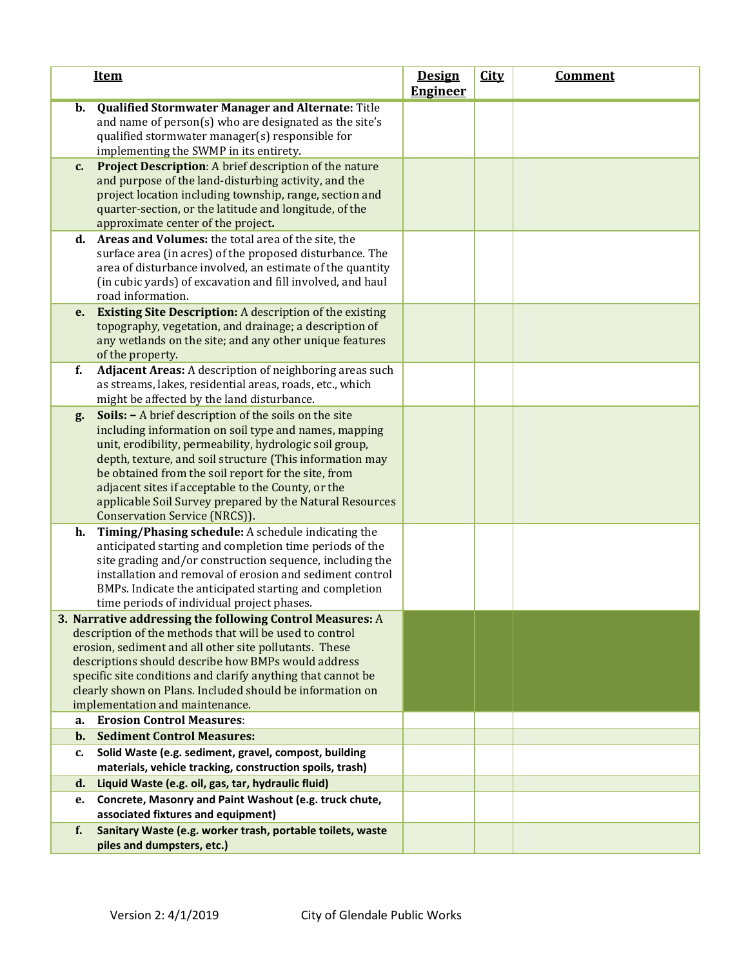| <b>Item</b>                                                                                                                                                                                                                                                                                                                                                                                                                                           | <b>Design</b><br><b>Engineer</b> | <b>City</b> | <b>Comment</b> |
|-------------------------------------------------------------------------------------------------------------------------------------------------------------------------------------------------------------------------------------------------------------------------------------------------------------------------------------------------------------------------------------------------------------------------------------------------------|----------------------------------|-------------|----------------|
| <b>Qualified Stormwater Manager and Alternate: Title</b><br>$\mathbf{b}$ .<br>and name of person(s) who are designated as the site's<br>qualified stormwater manager(s) responsible for<br>implementing the SWMP in its entirety.                                                                                                                                                                                                                     |                                  |             |                |
| <b>Project Description:</b> A brief description of the nature<br>$c_{\cdot}$<br>and purpose of the land-disturbing activity, and the<br>project location including township, range, section and<br>quarter-section, or the latitude and longitude, of the<br>approximate center of the project.                                                                                                                                                       |                                  |             |                |
| d. Areas and Volumes: the total area of the site, the<br>surface area (in acres) of the proposed disturbance. The<br>area of disturbance involved, an estimate of the quantity<br>(in cubic yards) of excavation and fill involved, and haul<br>road information.                                                                                                                                                                                     |                                  |             |                |
| <b>Existing Site Description:</b> A description of the existing<br>e.<br>topography, vegetation, and drainage; a description of<br>any wetlands on the site; and any other unique features<br>of the property.                                                                                                                                                                                                                                        |                                  |             |                |
| f.<br>Adjacent Areas: A description of neighboring areas such<br>as streams, lakes, residential areas, roads, etc., which<br>might be affected by the land disturbance.                                                                                                                                                                                                                                                                               |                                  |             |                |
| Soils: - A brief description of the soils on the site<br>g.<br>including information on soil type and names, mapping<br>unit, erodibility, permeability, hydrologic soil group,<br>depth, texture, and soil structure (This information may<br>be obtained from the soil report for the site, from<br>adjacent sites if acceptable to the County, or the<br>applicable Soil Survey prepared by the Natural Resources<br>Conservation Service (NRCS)). |                                  |             |                |
| Timing/Phasing schedule: A schedule indicating the<br>h.<br>anticipated starting and completion time periods of the<br>site grading and/or construction sequence, including the<br>installation and removal of erosion and sediment control<br>BMPs. Indicate the anticipated starting and completion<br>time periods of individual project phases.                                                                                                   |                                  |             |                |
| 3. Narrative addressing the following Control Measures: A<br>description of the methods that will be used to control<br>erosion, sediment and all other site pollutants. These<br>descriptions should describe how BMPs would address<br>specific site conditions and clarify anything that cannot be<br>clearly shown on Plans. Included should be information on<br>implementation and maintenance.                                                 |                                  |             |                |
| <b>Erosion Control Measures:</b><br>a.                                                                                                                                                                                                                                                                                                                                                                                                                |                                  |             |                |
| <b>Sediment Control Measures:</b><br>$\mathbf{b}$ .                                                                                                                                                                                                                                                                                                                                                                                                   |                                  |             |                |
| Solid Waste (e.g. sediment, gravel, compost, building<br>c.<br>materials, vehicle tracking, construction spoils, trash)                                                                                                                                                                                                                                                                                                                               |                                  |             |                |
| Liquid Waste (e.g. oil, gas, tar, hydraulic fluid)<br>d.                                                                                                                                                                                                                                                                                                                                                                                              |                                  |             |                |
| Concrete, Masonry and Paint Washout (e.g. truck chute,<br>е.                                                                                                                                                                                                                                                                                                                                                                                          |                                  |             |                |
| associated fixtures and equipment)                                                                                                                                                                                                                                                                                                                                                                                                                    |                                  |             |                |
| Sanitary Waste (e.g. worker trash, portable toilets, waste<br>f.<br>piles and dumpsters, etc.)                                                                                                                                                                                                                                                                                                                                                        |                                  |             |                |